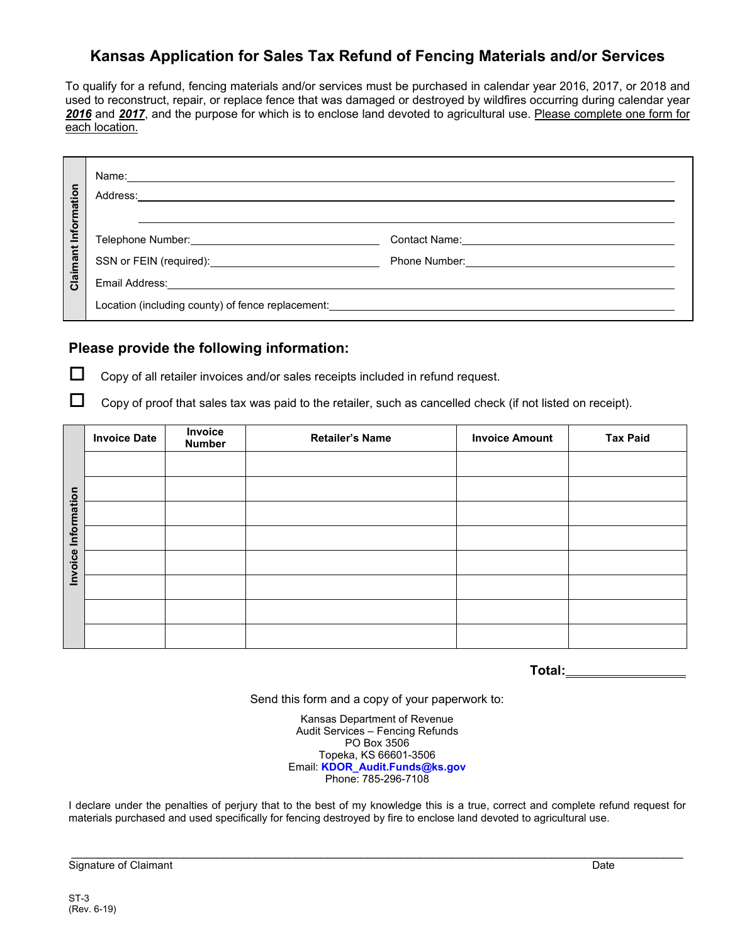# **Kansas Application for Sales Tax Refund of Fencing Materials and/or Services**

To qualify for a refund, fencing materials and/or services must be purchased in calendar year 2016, 2017, or 2018 and used to reconstruct, repair, or replace fence that was damaged or destroyed by wildfires occurring during calendar year *2016* and *2017*, and the purpose for which is to enclose land devoted to agricultural use. Please complete one form for each location.

| Information<br>Claimant |                                                                                                                                                                                                                                |                                                                                                             |  |
|-------------------------|--------------------------------------------------------------------------------------------------------------------------------------------------------------------------------------------------------------------------------|-------------------------------------------------------------------------------------------------------------|--|
|                         |                                                                                                                                                                                                                                |                                                                                                             |  |
|                         | SSN or FEIN (required): <u>________________________________</u>                                                                                                                                                                | Phone Number: 2008 Contract Department of the Numbers of Alexander Contract Department of the United States |  |
|                         |                                                                                                                                                                                                                                |                                                                                                             |  |
|                         | Location (including county) of fence replacement: Letter and the state of the state of the state of the state of the state of the state of the state of the state of the state of the state of the state of the state of the s |                                                                                                             |  |

### **Please provide the following information:**

 $\Box$  Copy of all retailer invoices and/or sales receipts included in refund request.

 $\Box$  Copy of proof that sales tax was paid to the retailer, such as cancelled check (if not listed on receipt).

|             | <b>Invoice Date</b> | Invoice<br><b>Number</b> | <b>Retailer's Name</b> | <b>Invoice Amount</b> | <b>Tax Paid</b> |
|-------------|---------------------|--------------------------|------------------------|-----------------------|-----------------|
|             |                     |                          |                        |                       |                 |
|             |                     |                          |                        |                       |                 |
| Information |                     |                          |                        |                       |                 |
|             |                     |                          |                        |                       |                 |
| Invoice     |                     |                          |                        |                       |                 |
|             |                     |                          |                        |                       |                 |
|             |                     |                          |                        |                       |                 |
|             |                     |                          |                        |                       |                 |

**Total:**

Send this form and a copy of your paperwork to:

Kansas Department of Revenue Audit Services – Fencing Refunds PO Box 3506 Topeka, KS 66601-3506 Email: **[KDOR\\_Audit.Funds@ks.gov](mailto:Audit.Funds@kdor.ks.gov)** Phone: 785-296-7108

I declare under the penalties of perjury that to the best of my knowledge this is a true, correct and complete refund request for materials purchased and used specifically for fencing destroyed by fire to enclose land devoted to agricultural use.

\_\_\_\_\_\_\_\_\_\_\_\_\_\_\_\_\_\_\_\_\_\_\_\_\_\_\_\_\_\_\_\_\_\_\_\_\_\_\_\_\_\_\_\_\_\_\_\_\_\_\_\_\_\_\_\_\_\_\_\_\_\_\_\_\_\_\_\_\_\_\_\_\_\_\_\_\_\_\_\_\_\_\_\_\_\_\_\_\_\_\_\_\_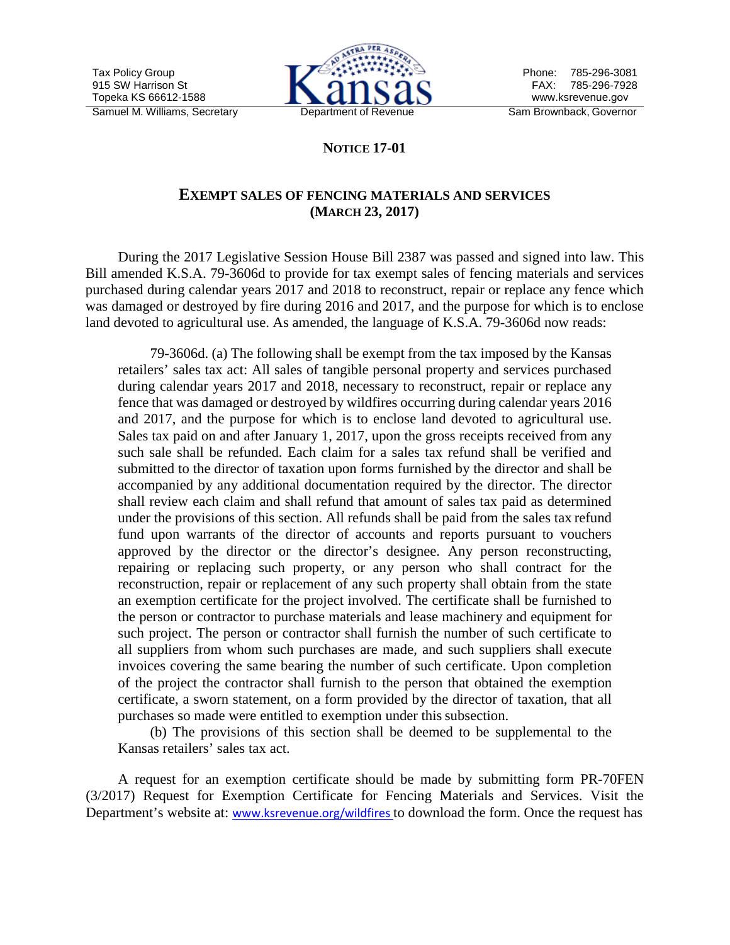

# **NOTICE 17-01**

## **EXEMPT SALES OF FENCING MATERIALS AND SERVICES (MARCH 23, 2017)**

During the 2017 Legislative Session House Bill 2387 was passed and signed into law. This Bill amended K.S.A. 79-3606d to provide for tax exempt sales of fencing materials and services purchased during calendar years 2017 and 2018 to reconstruct, repair or replace any fence which was damaged or destroyed by fire during 2016 and 2017, and the purpose for which is to enclose land devoted to agricultural use. As amended, the language of K.S.A. 79-3606d now reads:

79-3606d. (a) The following shall be exempt from the tax imposed by the Kansas retailers' sales tax act: All sales of tangible personal property and services purchased during calendar years 2017 and 2018, necessary to reconstruct, repair or replace any fence that was damaged or destroyed by wildfires occurring during calendar years 2016 and 2017, and the purpose for which is to enclose land devoted to agricultural use. Sales tax paid on and after January 1, 2017, upon the gross receipts received from any such sale shall be refunded. Each claim for a sales tax refund shall be verified and submitted to the director of taxation upon forms furnished by the director and shall be accompanied by any additional documentation required by the director. The director shall review each claim and shall refund that amount of sales tax paid as determined under the provisions of this section. All refunds shall be paid from the sales tax refund fund upon warrants of the director of accounts and reports pursuant to vouchers approved by the director or the director's designee. Any person reconstructing, repairing or replacing such property, or any person who shall contract for the reconstruction, repair or replacement of any such property shall obtain from the state an exemption certificate for the project involved. The certificate shall be furnished to the person or contractor to purchase materials and lease machinery and equipment for such project. The person or contractor shall furnish the number of such certificate to all suppliers from whom such purchases are made, and such suppliers shall execute invoices covering the same bearing the number of such certificate. Upon completion of the project the contractor shall furnish to the person that obtained the exemption certificate, a sworn statement, on a form provided by the director of taxation, that all purchases so made were entitled to exemption under this subsection.

(b) The provisions of this section shall be deemed to be supplemental to the Kansas retailers' sales tax act.

A request for an exemption certificate should be made by submitting form PR-70FEN (3/2017) Request for Exemption Certificate for Fencing Materials and Services. Visit the Department's website at: [www.ksrevenue.org/wildfires](http://www.ksrevenue.org/wildfires) to download the form. Once the request has